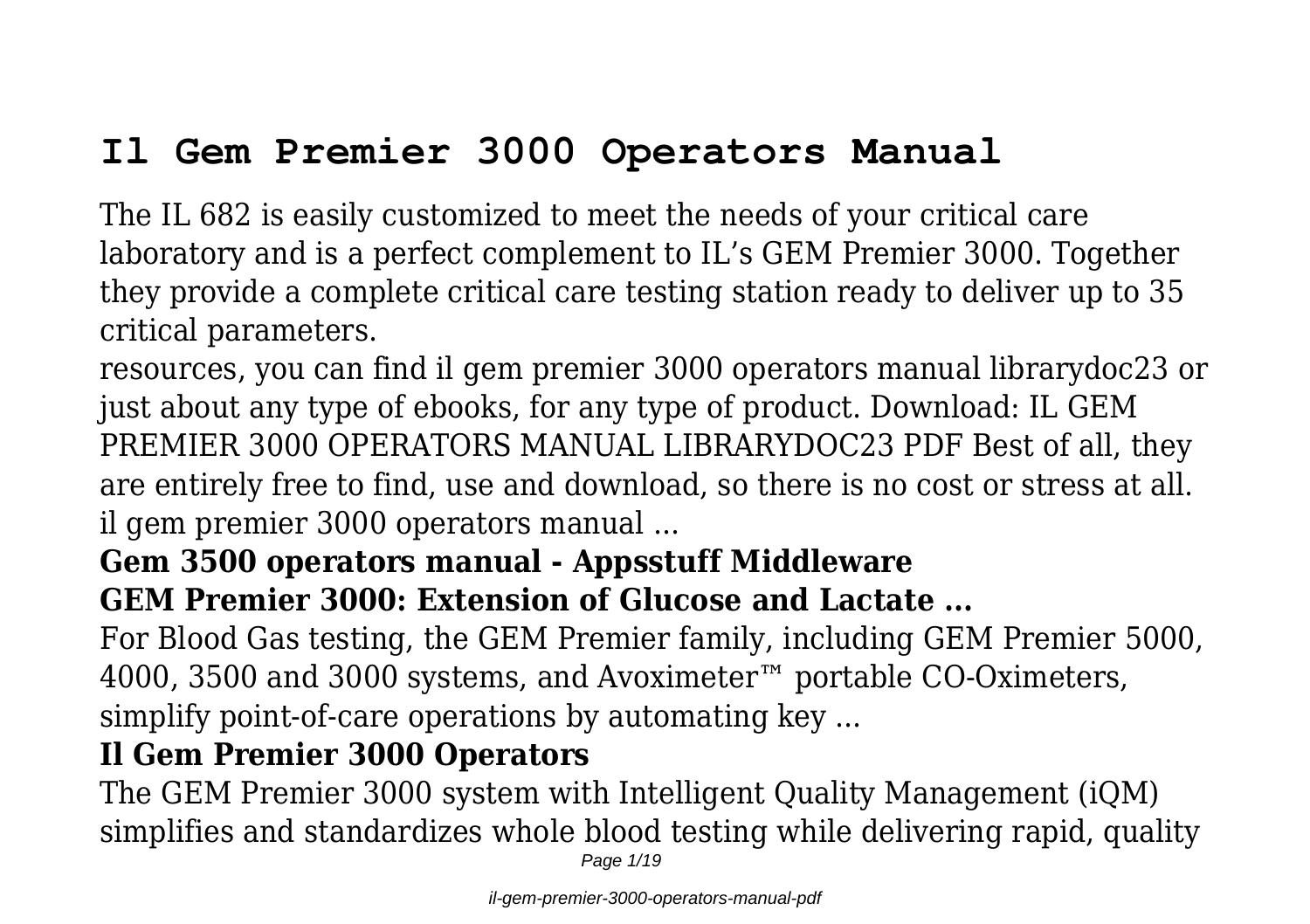# **Il Gem Premier 3000 Operators Manual**

The IL 682 is easily customized to meet the needs of your critical care laboratory and is a perfect complement to IL's GEM Premier 3000. Together they provide a complete critical care testing station ready to deliver up to 35 critical parameters.

resources, you can find il gem premier 3000 operators manual librarydoc23 or just about any type of ebooks, for any type of product. Download: IL GEM PREMIER 3000 OPERATORS MANUAL LIBRARYDOC23 PDF Best of all, they are entirely free to find, use and download, so there is no cost or stress at all. il gem premier 3000 operators manual ...

#### **Gem 3500 operators manual - Appsstuff Middleware GEM Premier 3000: Extension of Glucose and Lactate ...**

For Blood Gas testing, the GEM Premier family, including GEM Premier 5000, 4000, 3500 and 3000 systems, and Avoximeter™ portable CO-Oximeters, simplify point-of-care operations by automating key ...

#### **Il Gem Premier 3000 Operators**

The GEM Premier 3000 system with Intelligent Quality Management (iQM) simplifies and standardizes whole blood testing while delivering rapid, quality

Page 1/19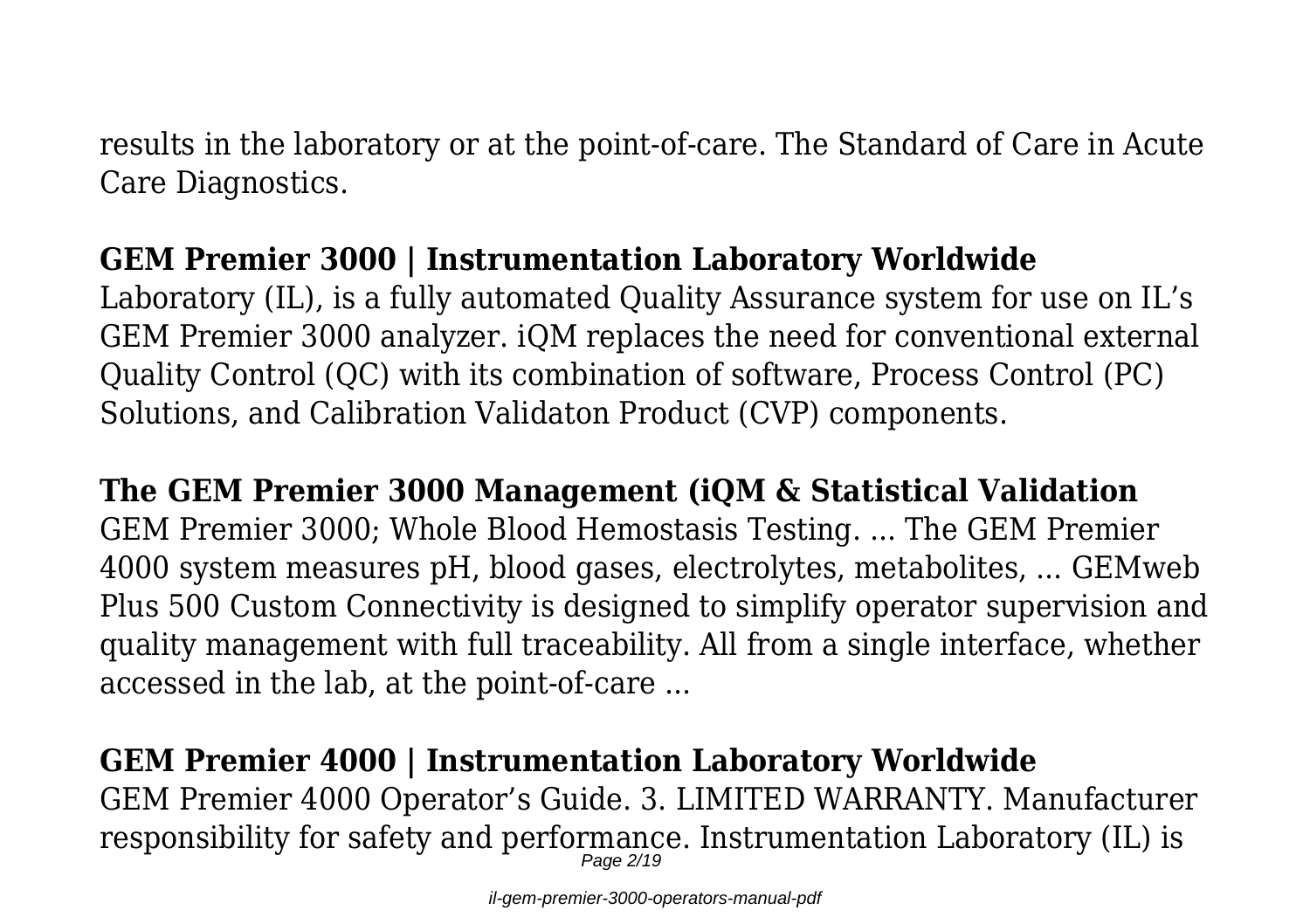results in the laboratory or at the point-of-care. The Standard of Care in Acute Care Diagnostics.

# **GEM Premier 3000 | Instrumentation Laboratory Worldwide**

Laboratory (IL), is a fully automated Quality Assurance system for use on IL's GEM Premier 3000 analyzer. iQM replaces the need for conventional external Quality Control (QC) with its combination of software, Process Control (PC) Solutions, and Calibration Validaton Product (CVP) components.

**The GEM Premier 3000 Management (iQM & Statistical Validation** GEM Premier 3000; Whole Blood Hemostasis Testing. ... The GEM Premier 4000 system measures pH, blood gases, electrolytes, metabolites, ... GEMweb Plus 500 Custom Connectivity is designed to simplify operator supervision and quality management with full traceability. All from a single interface, whether accessed in the lab, at the point-of-care ...

# **GEM Premier 4000 | Instrumentation Laboratory Worldwide**

GEM Premier 4000 Operator's Guide. 3. LIMITED WARRANTY. Manufacturer responsibility for safety and performance. Instrumentation Laboratory (IL) is Page 2/19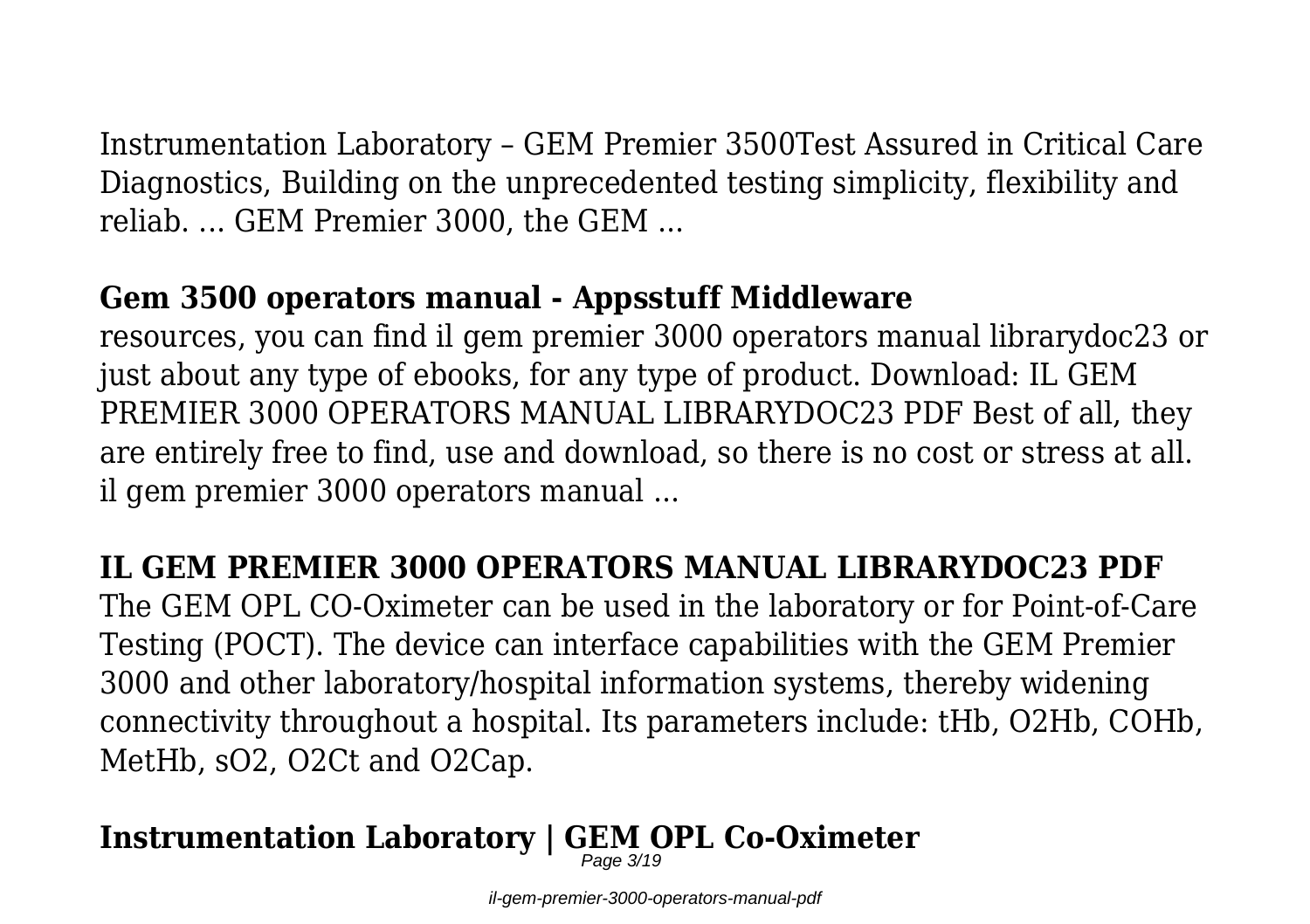Instrumentation Laboratory – GEM Premier 3500Test Assured in Critical Care Diagnostics, Building on the unprecedented testing simplicity, flexibility and reliab. ... GEM Premier 3000, the GEM ...

#### **Gem 3500 operators manual - Appsstuff Middleware**

resources, you can find il gem premier 3000 operators manual librarydoc23 or just about any type of ebooks, for any type of product. Download: IL GEM PREMIER 3000 OPERATORS MANUAL LIBRARYDOC23 PDF Best of all, they are entirely free to find, use and download, so there is no cost or stress at all. il gem premier 3000 operators manual ...

# **IL GEM PREMIER 3000 OPERATORS MANUAL LIBRARYDOC23 PDF**

The GEM OPL CO-Oximeter can be used in the laboratory or for Point-of-Care Testing (POCT). The device can interface capabilities with the GEM Premier 3000 and other laboratory/hospital information systems, thereby widening connectivity throughout a hospital. Its parameters include: tHb, O2Hb, COHb, MetHb, sO2, O2Ct and O2Cap.

#### **Instrumentation Laboratory | GEM OPL Co-Oximeter** Page 3/19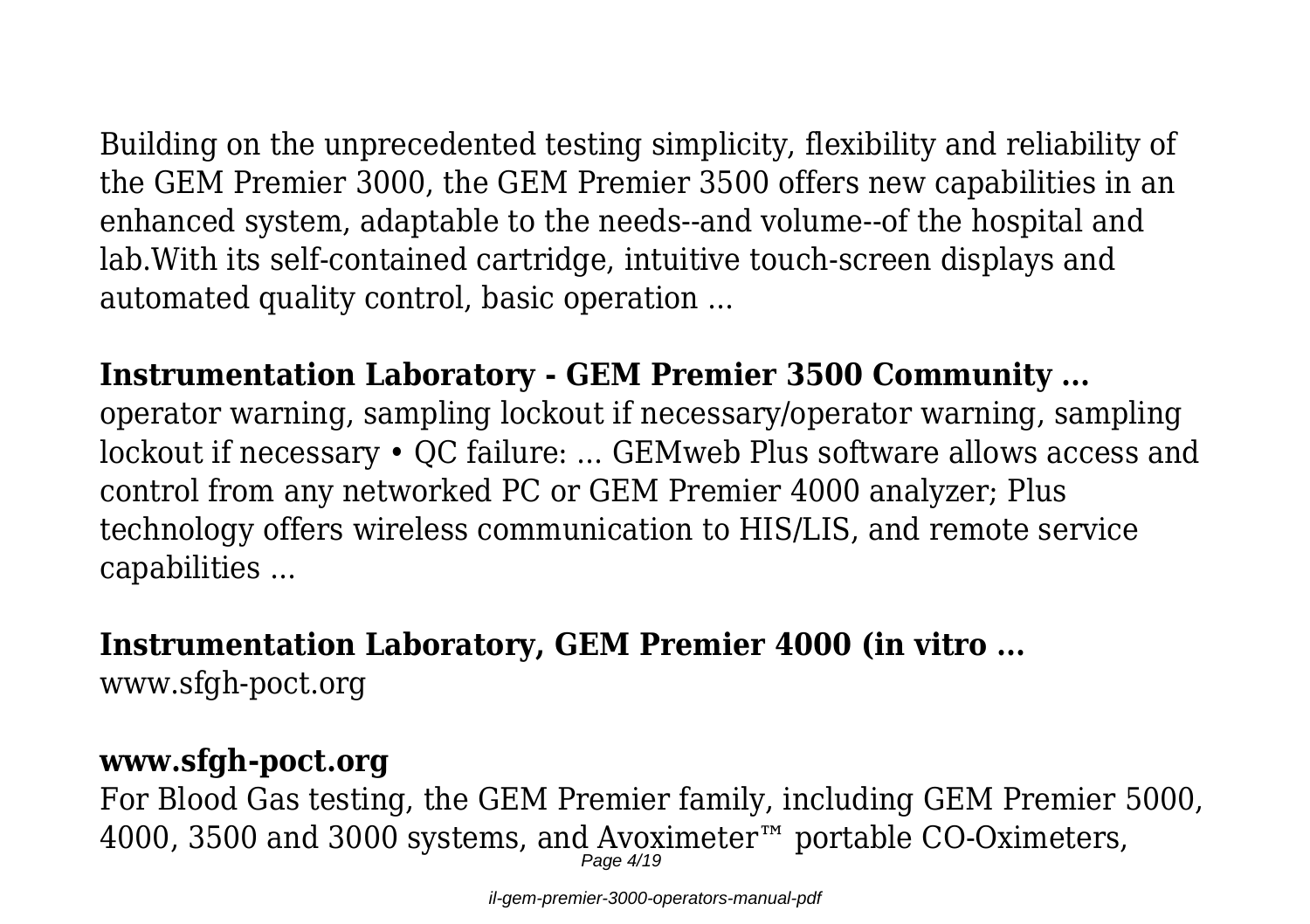Building on the unprecedented testing simplicity, flexibility and reliability of the GEM Premier 3000, the GEM Premier 3500 offers new capabilities in an enhanced system, adaptable to the needs--and volume--of the hospital and lab.With its self-contained cartridge, intuitive touch-screen displays and automated quality control, basic operation ...

#### **Instrumentation Laboratory - GEM Premier 3500 Community ...**

operator warning, sampling lockout if necessary/operator warning, sampling lockout if necessary • QC failure: ... GEMweb Plus software allows access and control from any networked PC or GEM Premier 4000 analyzer; Plus technology offers wireless communication to HIS/LIS, and remote service capabilities ...

#### **Instrumentation Laboratory, GEM Premier 4000 (in vitro ...**

www.sfgh-poct.org

# **www.sfgh-poct.org**

For Blood Gas testing, the GEM Premier family, including GEM Premier 5000, 4000, 3500 and 3000 systems, and Avoximeter™ portable CO-Oximeters, Page 4/19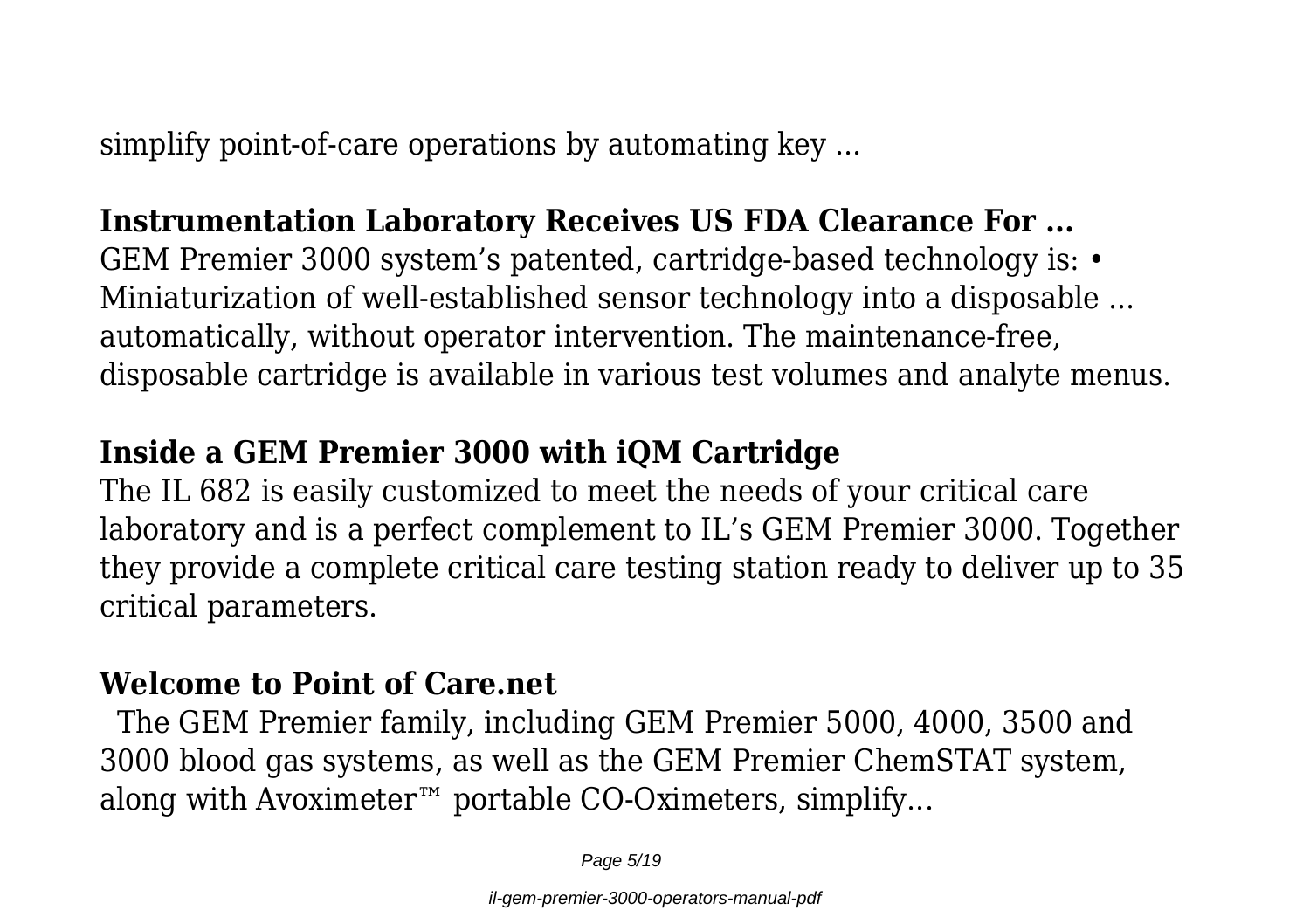simplify point-of-care operations by automating key ...

# **Instrumentation Laboratory Receives US FDA Clearance For ...**

GEM Premier 3000 system's patented, cartridge-based technology is: • Miniaturization of well-established sensor technology into a disposable ... automatically, without operator intervention. The maintenance-free, disposable cartridge is available in various test volumes and analyte menus.

# **Inside a GEM Premier 3000 with iQM Cartridge**

The IL 682 is easily customized to meet the needs of your critical care laboratory and is a perfect complement to IL's GEM Premier 3000. Together they provide a complete critical care testing station ready to deliver up to 35 critical parameters.

# **Welcome to Point of Care.net**

 The GEM Premier family, including GEM Premier 5000, 4000, 3500 and 3000 blood gas systems, as well as the GEM Premier ChemSTAT system, along with Avoximeter™ portable CO-Oximeters, simplify...

Page 5/19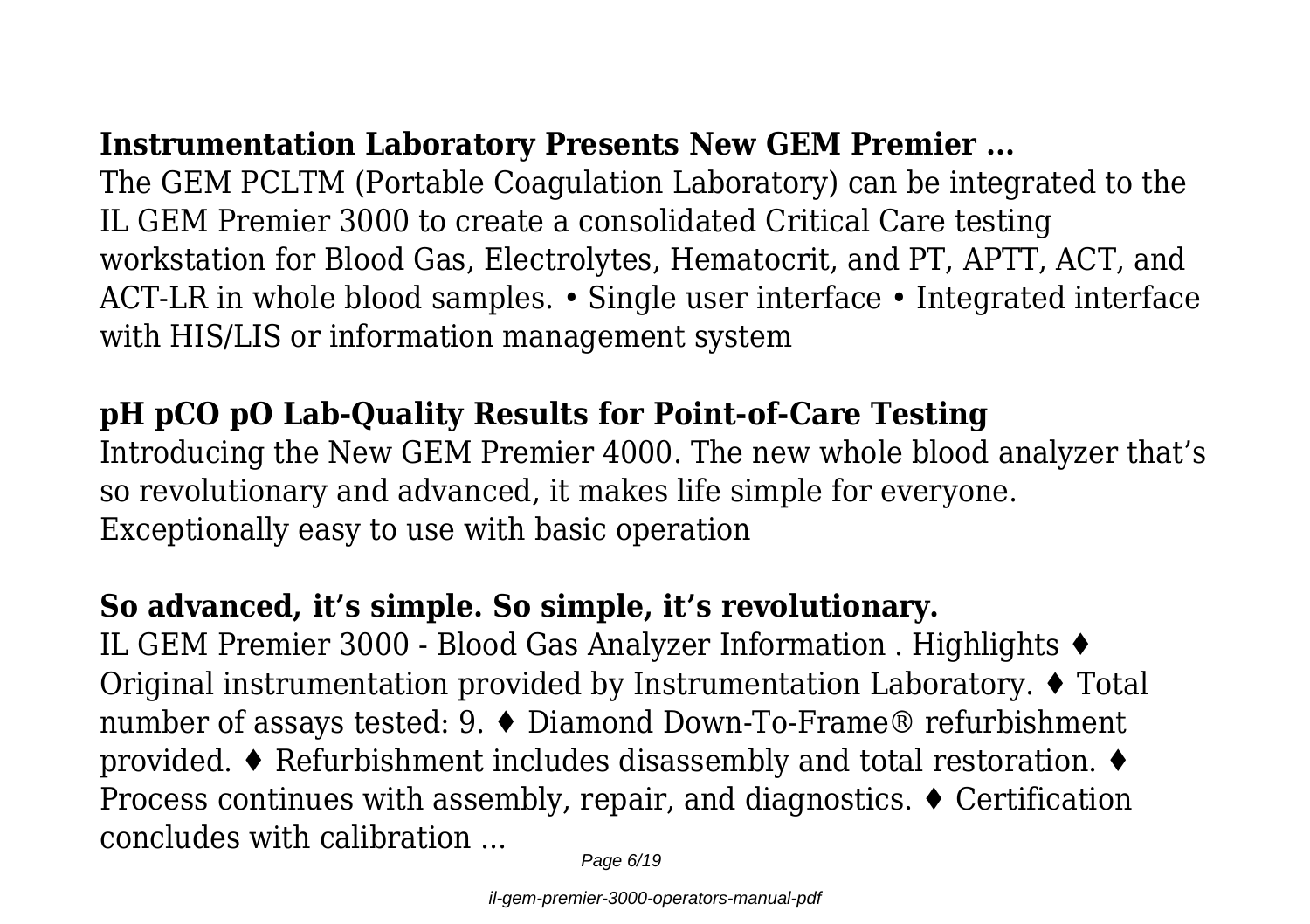# **Instrumentation Laboratory Presents New GEM Premier ...**

The GEM PCLTM (Portable Coagulation Laboratory) can be integrated to the IL GEM Premier 3000 to create a consolidated Critical Care testing workstation for Blood Gas, Electrolytes, Hematocrit, and PT, APTT, ACT, and ACT-LR in whole blood samples. • Single user interface • Integrated interface with HIS/LIS or information management system

#### **pH pCO pO Lab-Quality Results for Point-of-Care Testing**

Introducing the New GEM Premier 4000. The new whole blood analyzer that's so revolutionary and advanced, it makes life simple for everyone. Exceptionally easy to use with basic operation

# **So advanced, it's simple. So simple, it's revolutionary.**

IL GEM Premier 3000 - Blood Gas Analyzer Information . Highlights ♦ Original instrumentation provided by Instrumentation Laboratory. ♦ Total number of assays tested: 9. ♦ Diamond Down-To-Frame® refurbishment provided. ♦ Refurbishment includes disassembly and total restoration. ♦ Process continues with assembly, repair, and diagnostics. ♦ Certification concludes with calibration ...

Page 6/19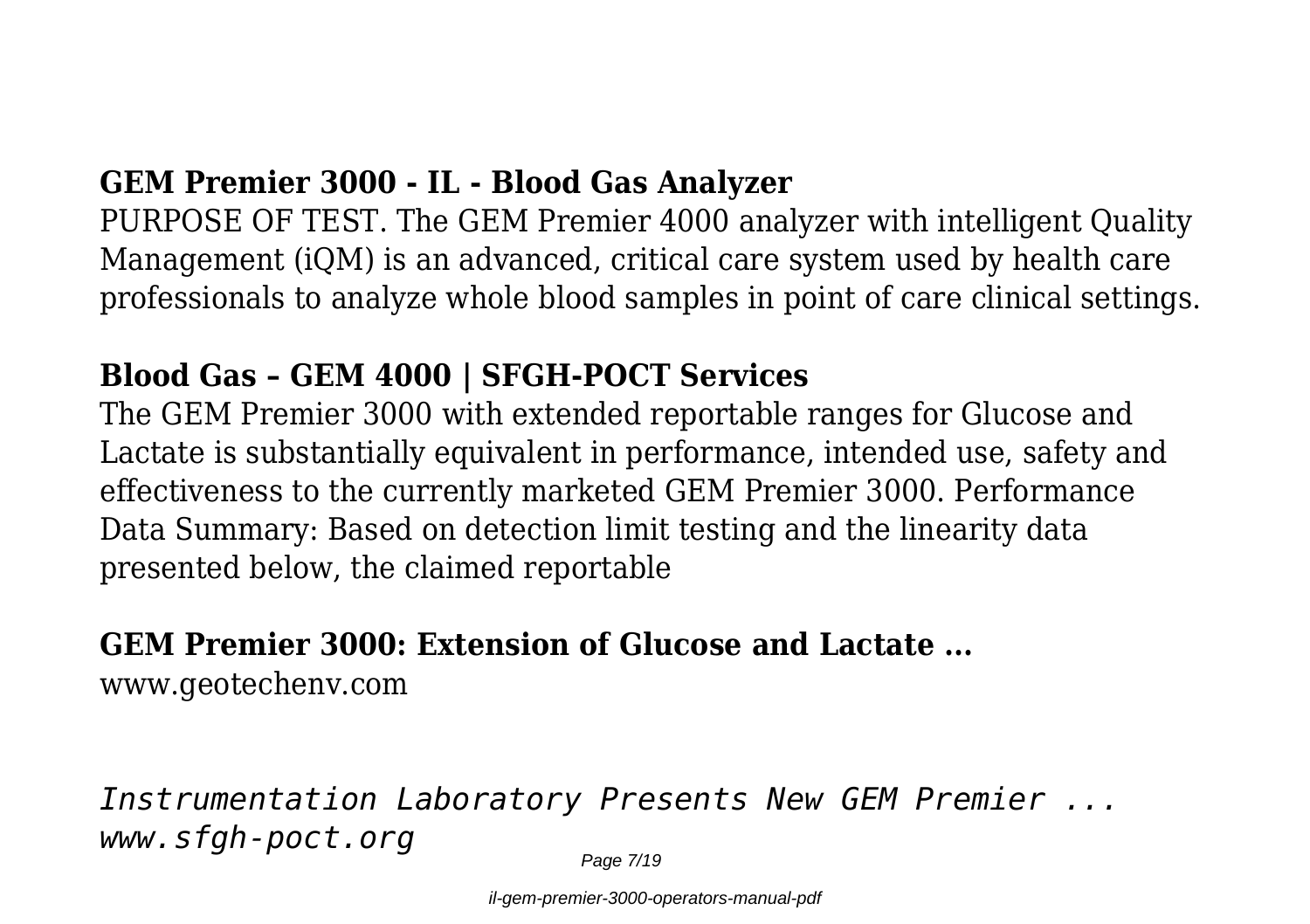#### **GEM Premier 3000 - IL - Blood Gas Analyzer**

PURPOSE OF TEST. The GEM Premier 4000 analyzer with intelligent Quality Management (iQM) is an advanced, critical care system used by health care professionals to analyze whole blood samples in point of care clinical settings.

#### **Blood Gas – GEM 4000 | SFGH-POCT Services**

The GEM Premier 3000 with extended reportable ranges for Glucose and Lactate is substantially equivalent in performance, intended use, safety and effectiveness to the currently marketed GEM Premier 3000. Performance Data Summary: Based on detection limit testing and the linearity data presented below, the claimed reportable

#### **GEM Premier 3000: Extension of Glucose and Lactate ...**

www.geotechenv.com

*Instrumentation Laboratory Presents New GEM Premier ... www.sfgh-poct.org*

Page 7/19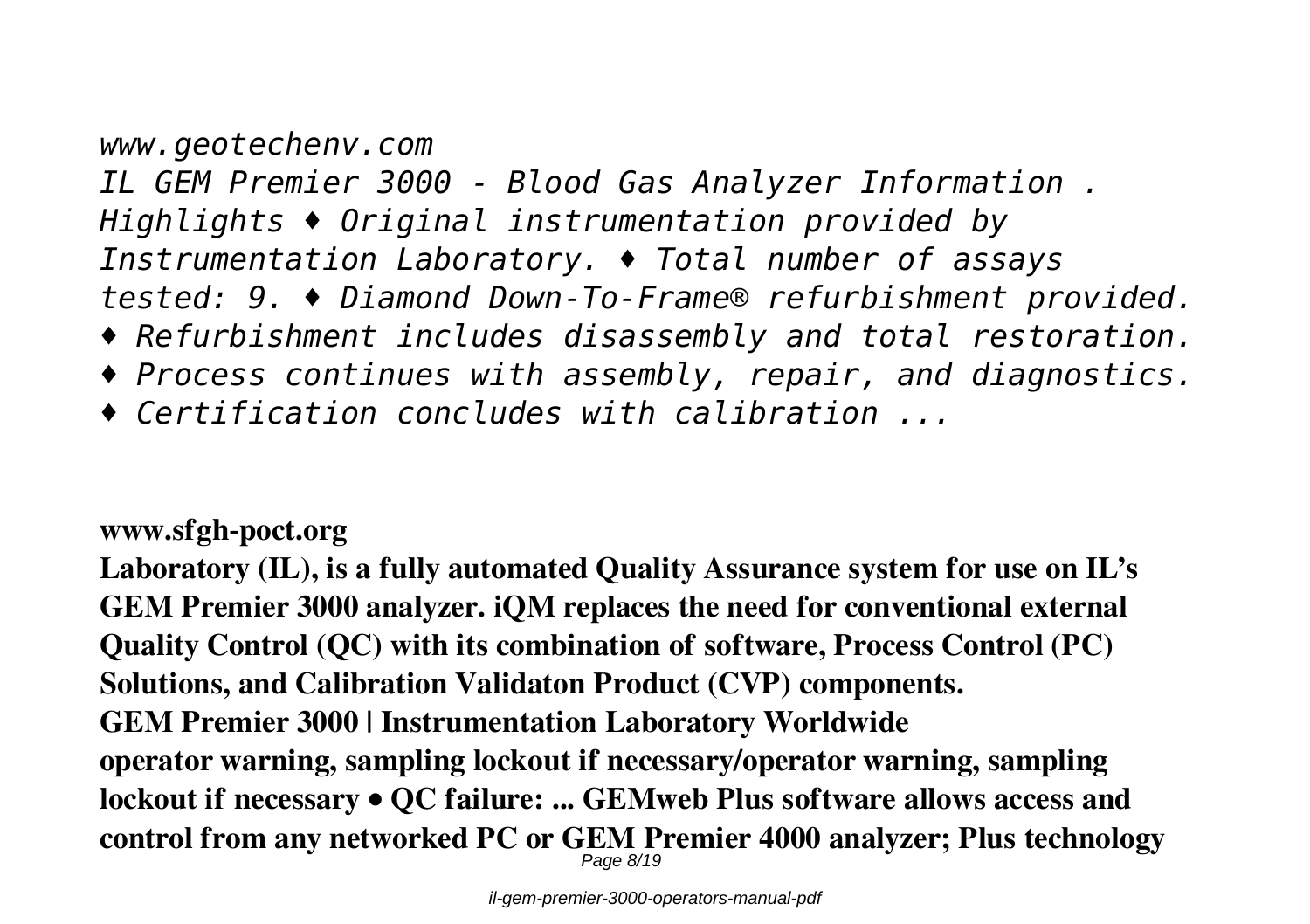# *www.geotechenv.com IL GEM Premier 3000 - Blood Gas Analyzer Information . Highlights ♦ Original instrumentation provided by Instrumentation Laboratory. ♦ Total number of assays tested: 9. ♦ Diamond Down-To-Frame® refurbishment provided. ♦ Refurbishment includes disassembly and total restoration. ♦ Process continues with assembly, repair, and diagnostics.*

*♦ Certification concludes with calibration ...*

#### **www.sfgh-poct.org**

**Laboratory (IL), is a fully automated Quality Assurance system for use on IL's GEM Premier 3000 analyzer. iQM replaces the need for conventional external Quality Control (QC) with its combination of software, Process Control (PC) Solutions, and Calibration Validaton Product (CVP) components. GEM Premier 3000 | Instrumentation Laboratory Worldwide operator warning, sampling lockout if necessary/operator warning, sampling lockout if necessary • QC failure: ... GEMweb Plus software allows access and control from any networked PC or GEM Premier 4000 analyzer; Plus technology** Page 8/19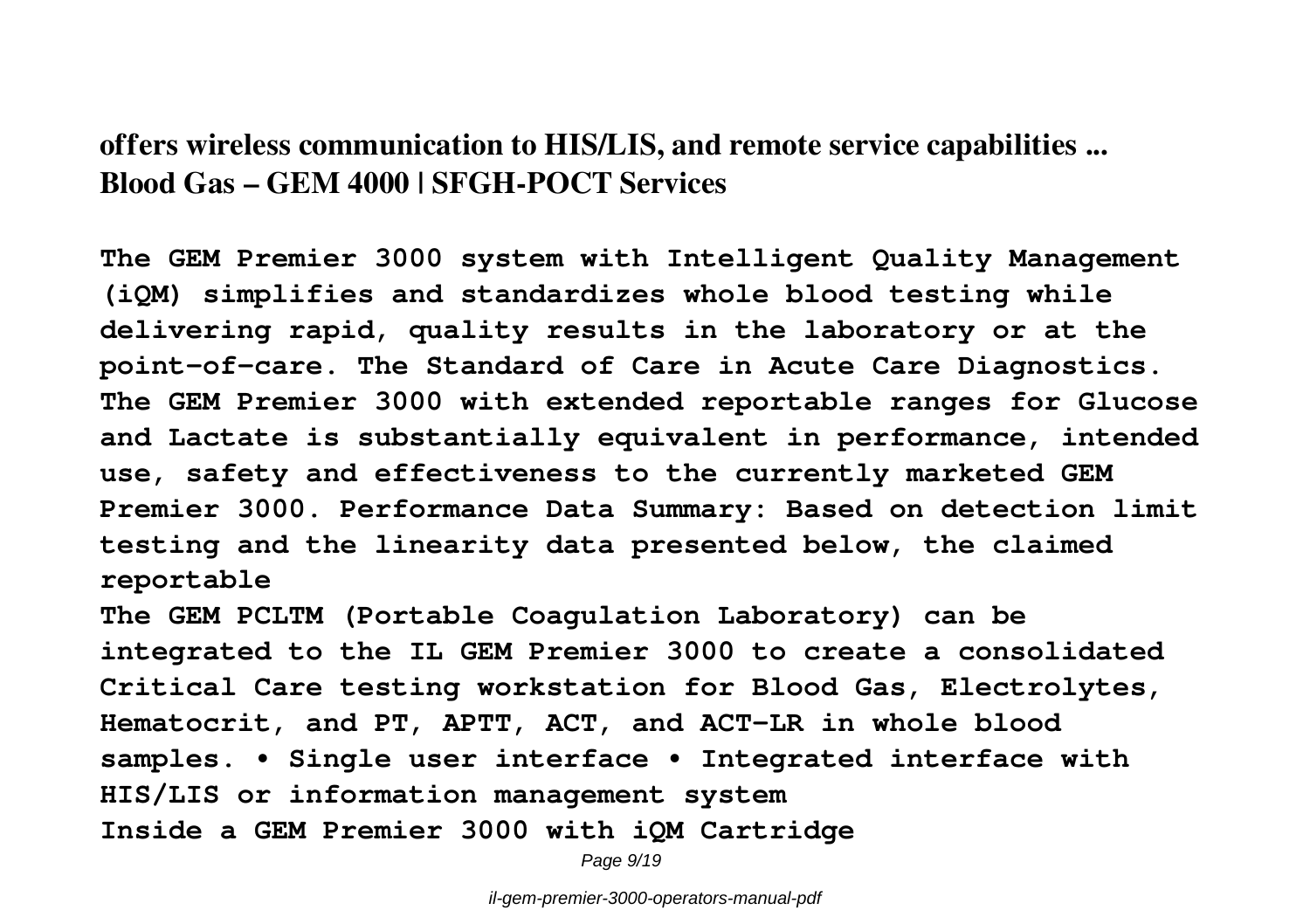#### **offers wireless communication to HIS/LIS, and remote service capabilities ... Blood Gas – GEM 4000 | SFGH-POCT Services**

**The GEM Premier 3000 system with Intelligent Quality Management (iQM) simplifies and standardizes whole blood testing while delivering rapid, quality results in the laboratory or at the point-of-care. The Standard of Care in Acute Care Diagnostics. The GEM Premier 3000 with extended reportable ranges for Glucose and Lactate is substantially equivalent in performance, intended use, safety and effectiveness to the currently marketed GEM Premier 3000. Performance Data Summary: Based on detection limit testing and the linearity data presented below, the claimed reportable**

**The GEM PCLTM (Portable Coagulation Laboratory) can be integrated to the IL GEM Premier 3000 to create a consolidated Critical Care testing workstation for Blood Gas, Electrolytes, Hematocrit, and PT, APTT, ACT, and ACT-LR in whole blood samples. • Single user interface • Integrated interface with HIS/LIS or information management system Inside a GEM Premier 3000 with iQM Cartridge**

Page  $9/19$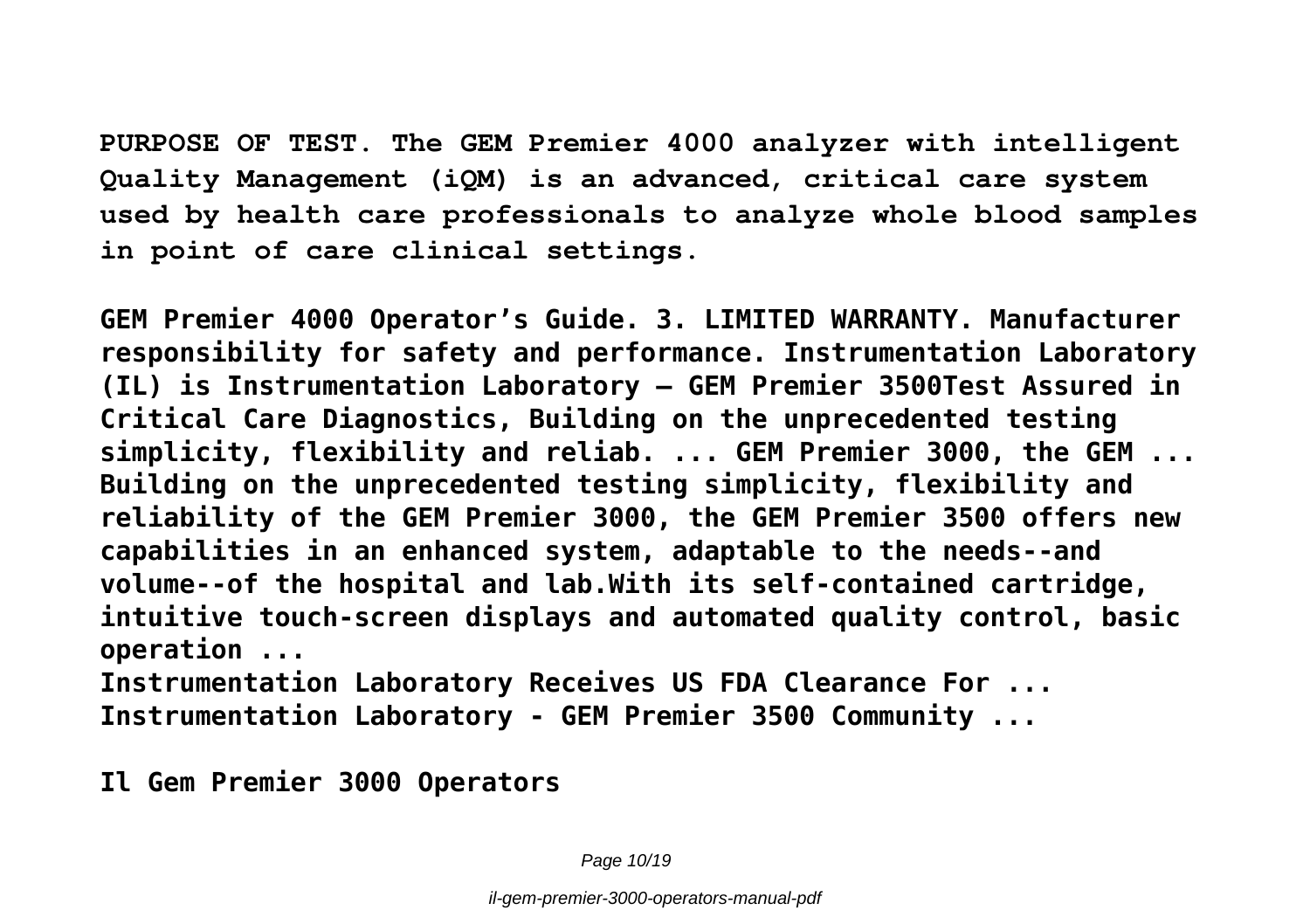**PURPOSE OF TEST. The GEM Premier 4000 analyzer with intelligent Quality Management (iQM) is an advanced, critical care system used by health care professionals to analyze whole blood samples in point of care clinical settings.**

**GEM Premier 4000 Operator's Guide. 3. LIMITED WARRANTY. Manufacturer responsibility for safety and performance. Instrumentation Laboratory (IL) is Instrumentation Laboratory – GEM Premier 3500Test Assured in Critical Care Diagnostics, Building on the unprecedented testing simplicity, flexibility and reliab. ... GEM Premier 3000, the GEM ... Building on the unprecedented testing simplicity, flexibility and reliability of the GEM Premier 3000, the GEM Premier 3500 offers new capabilities in an enhanced system, adaptable to the needs--and volume--of the hospital and lab.With its self-contained cartridge, intuitive touch-screen displays and automated quality control, basic operation ...**

**Instrumentation Laboratory Receives US FDA Clearance For ... Instrumentation Laboratory - GEM Premier 3500 Community ...**

**Il Gem Premier 3000 Operators**

Page 10/19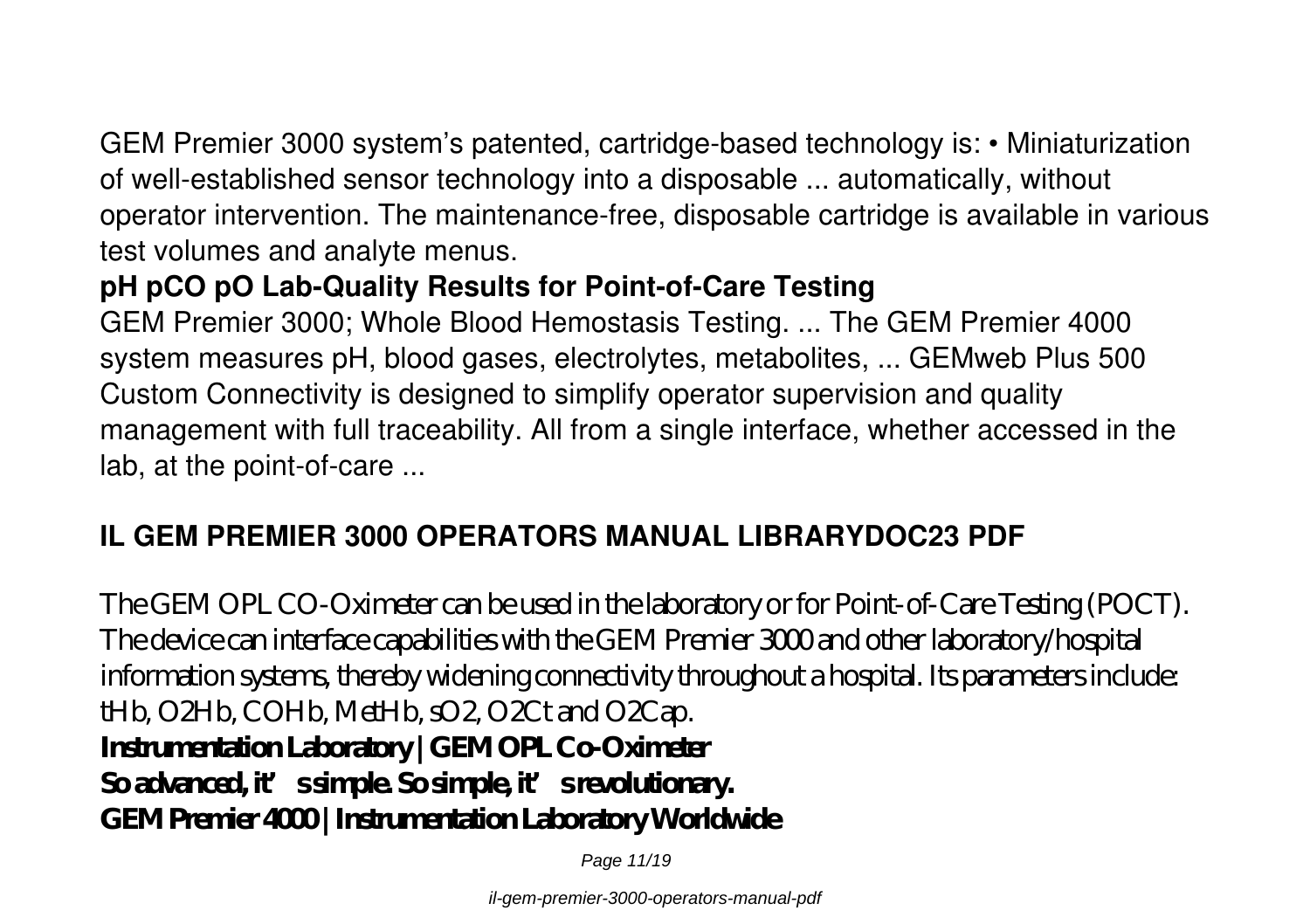GEM Premier 3000 system's patented, cartridge-based technology is: • Miniaturization of well-established sensor technology into a disposable ... automatically, without operator intervention. The maintenance-free, disposable cartridge is available in various test volumes and analyte menus.

#### **pH pCO pO Lab-Quality Results for Point-of-Care Testing**

GEM Premier 3000; Whole Blood Hemostasis Testing. ... The GEM Premier 4000 system measures pH, blood gases, electrolytes, metabolites, ... GEMweb Plus 500 Custom Connectivity is designed to simplify operator supervision and quality management with full traceability. All from a single interface, whether accessed in the lab, at the point-of-care ...

#### **IL GEM PREMIER 3000 OPERATORS MANUAL LIBRARYDOC23 PDF**

The GEM OPL CO-Oximeter can be used in the laboratory or for Point-of-Care Testing (POCT). The device can interface capabilities with the GEM Premier 3000 and other laboratory/hospital information systems, thereby widening connectivity throughout a hospital. Its parameters include: tHb, O2Hb, COHb, MetHb,  $\mathcal{O}2$ , O2Ct and O2Cap. **Instrumentation Laboratory | GEM OPL Co-Oximeter** So advanced, it's simple. So simple, it's revolutionary. **GEM Premier 4000 | Instrumentation Laboratory Worldwide**

Page 11/19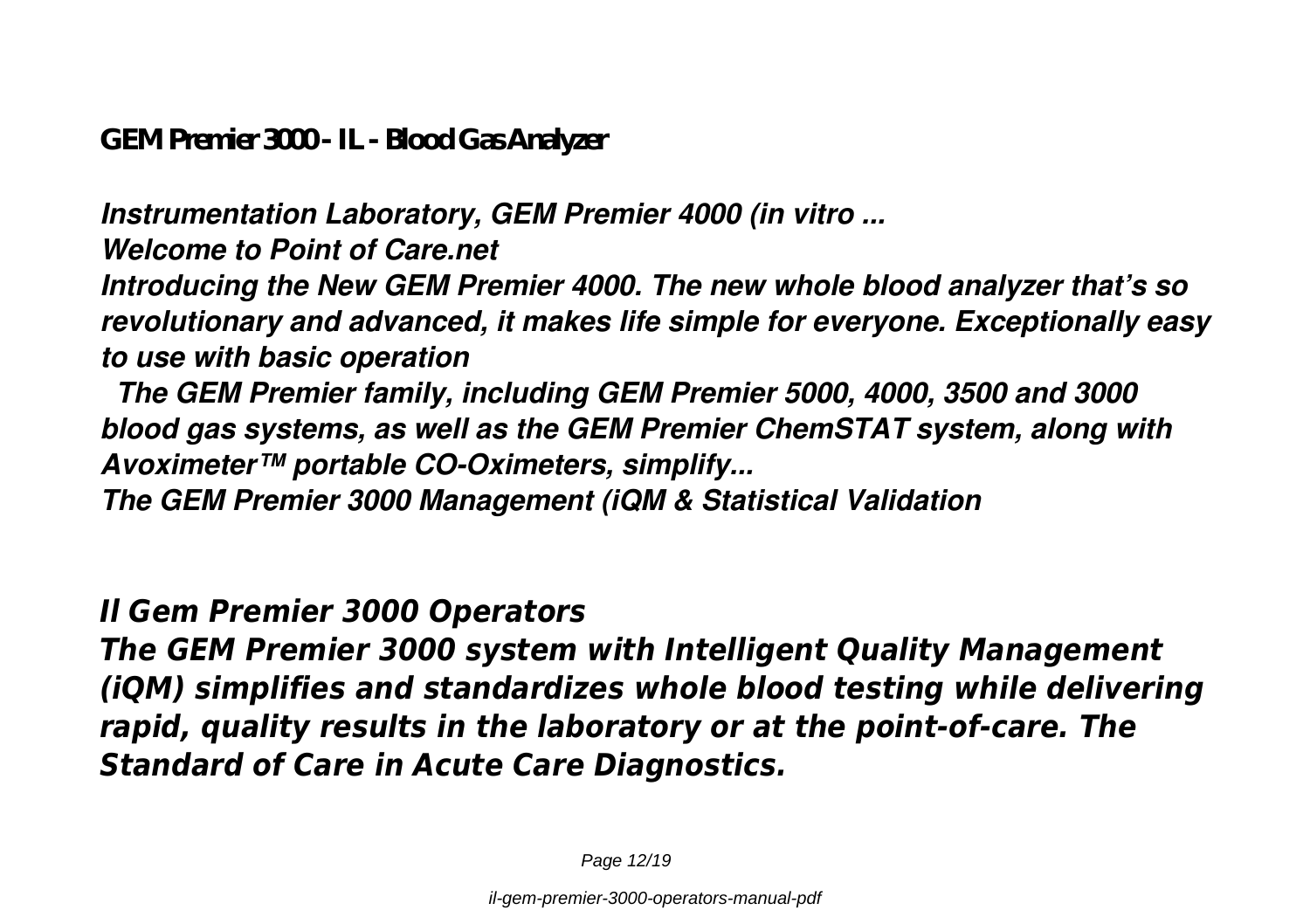**GEM Premier 3000 - IL - Blood Gas Analyzer**

*Instrumentation Laboratory, GEM Premier 4000 (in vitro ...*

*Welcome to Point of Care.net*

*Introducing the New GEM Premier 4000. The new whole blood analyzer that's so revolutionary and advanced, it makes life simple for everyone. Exceptionally easy to use with basic operation*

 *The GEM Premier family, including GEM Premier 5000, 4000, 3500 and 3000 blood gas systems, as well as the GEM Premier ChemSTAT system, along with Avoximeter™ portable CO-Oximeters, simplify...*

*The GEM Premier 3000 Management (iQM & Statistical Validation*

*Il Gem Premier 3000 Operators*

*The GEM Premier 3000 system with Intelligent Quality Management (iQM) simplifies and standardizes whole blood testing while delivering rapid, quality results in the laboratory or at the point-of-care. The Standard of Care in Acute Care Diagnostics.*

Page 12/19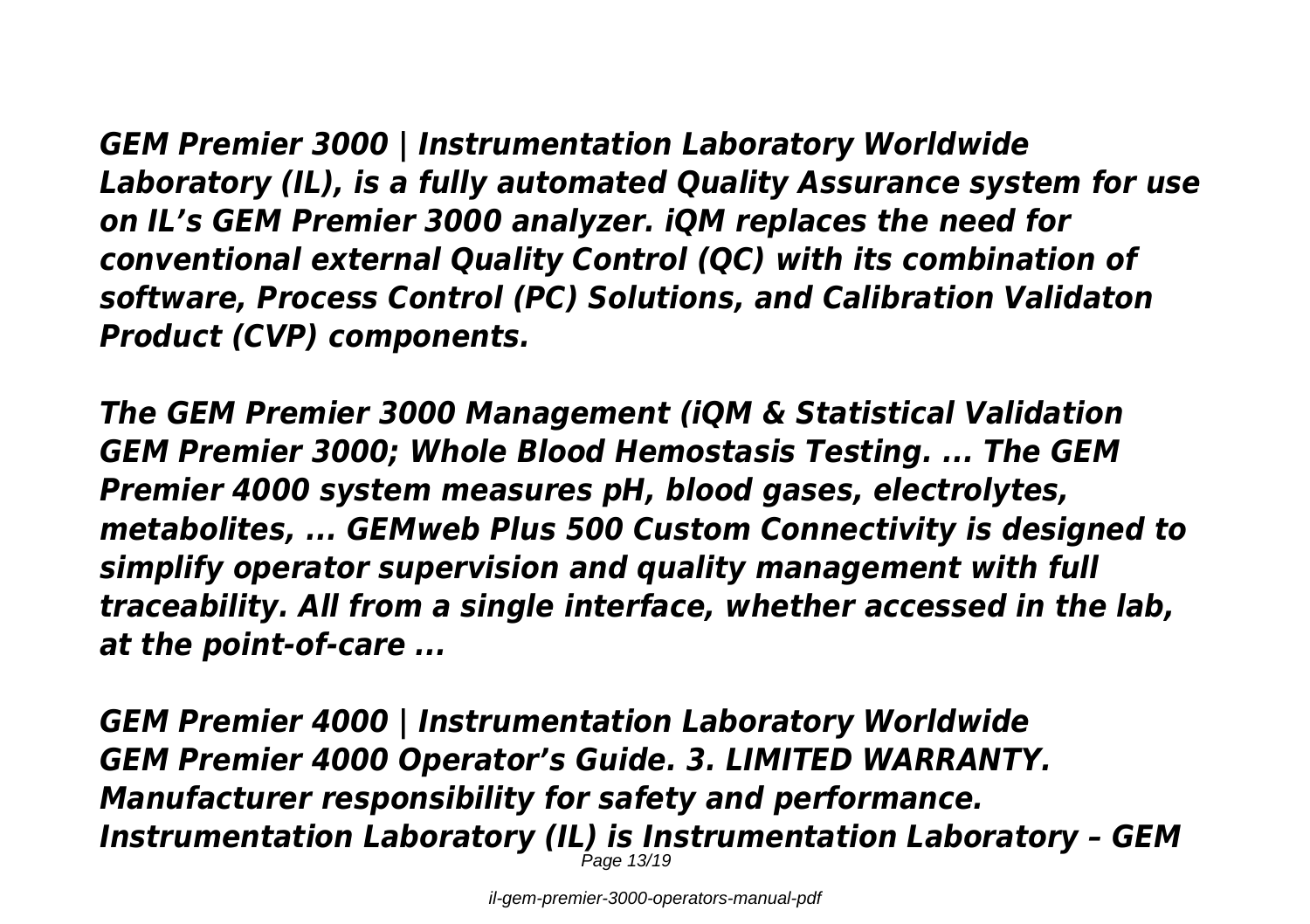*GEM Premier 3000 | Instrumentation Laboratory Worldwide Laboratory (IL), is a fully automated Quality Assurance system for use on IL's GEM Premier 3000 analyzer. iQM replaces the need for conventional external Quality Control (QC) with its combination of software, Process Control (PC) Solutions, and Calibration Validaton Product (CVP) components.*

*The GEM Premier 3000 Management (iQM & Statistical Validation GEM Premier 3000; Whole Blood Hemostasis Testing. ... The GEM Premier 4000 system measures pH, blood gases, electrolytes, metabolites, ... GEMweb Plus 500 Custom Connectivity is designed to simplify operator supervision and quality management with full traceability. All from a single interface, whether accessed in the lab, at the point-of-care ...*

*GEM Premier 4000 | Instrumentation Laboratory Worldwide GEM Premier 4000 Operator's Guide. 3. LIMITED WARRANTY. Manufacturer responsibility for safety and performance. Instrumentation Laboratory (IL) is Instrumentation Laboratory - GEM*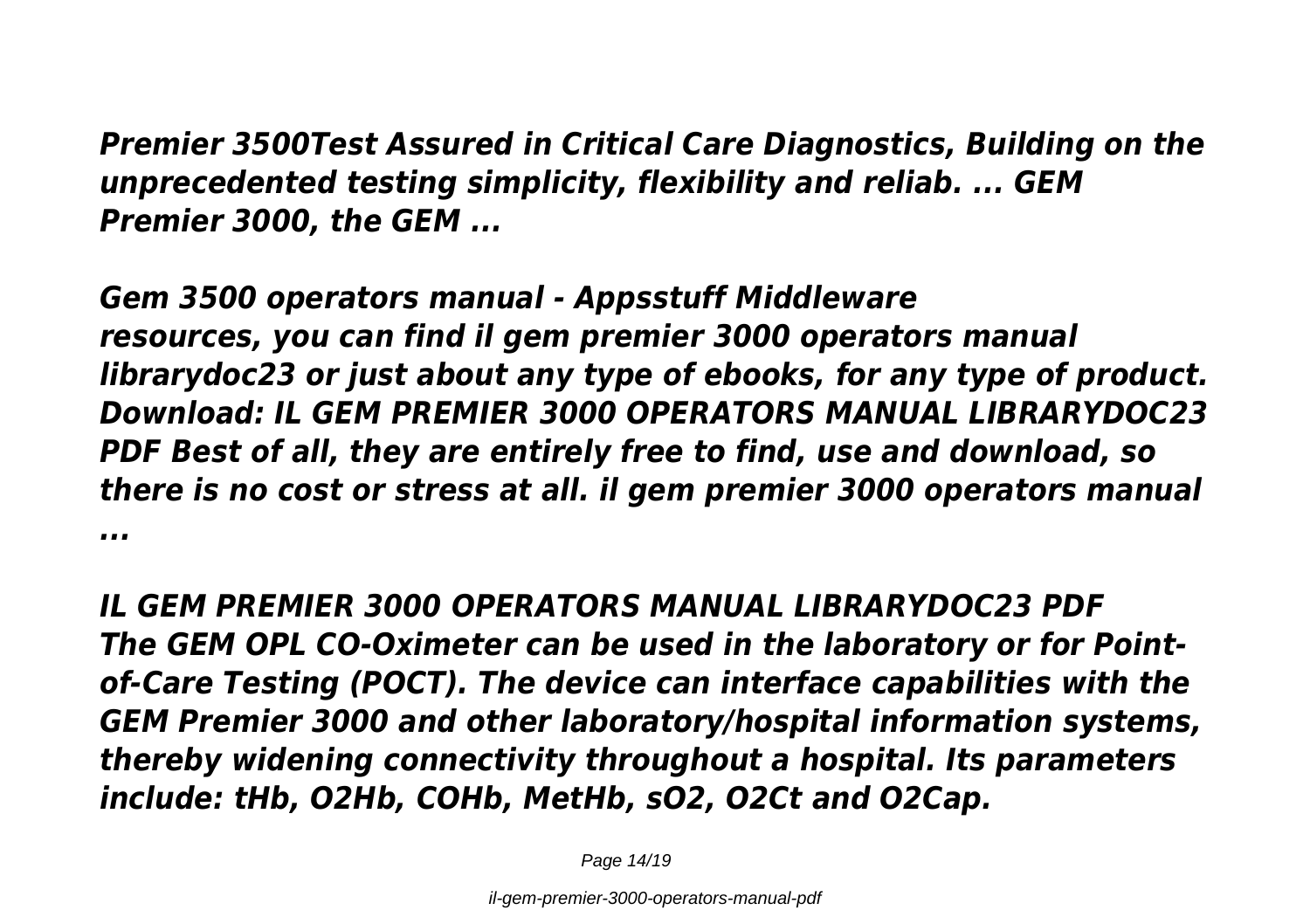*Premier 3500Test Assured in Critical Care Diagnostics, Building on the unprecedented testing simplicity, flexibility and reliab. ... GEM Premier 3000, the GEM ...*

*Gem 3500 operators manual - Appsstuff Middleware resources, you can find il gem premier 3000 operators manual librarydoc23 or just about any type of ebooks, for any type of product. Download: IL GEM PREMIER 3000 OPERATORS MANUAL LIBRARYDOC23 PDF Best of all, they are entirely free to find, use and download, so there is no cost or stress at all. il gem premier 3000 operators manual ...*

*IL GEM PREMIER 3000 OPERATORS MANUAL LIBRARYDOC23 PDF The GEM OPL CO-Oximeter can be used in the laboratory or for Pointof-Care Testing (POCT). The device can interface capabilities with the GEM Premier 3000 and other laboratory/hospital information systems, thereby widening connectivity throughout a hospital. Its parameters include: tHb, O2Hb, COHb, MetHb, sO2, O2Ct and O2Cap.*

Page 14/19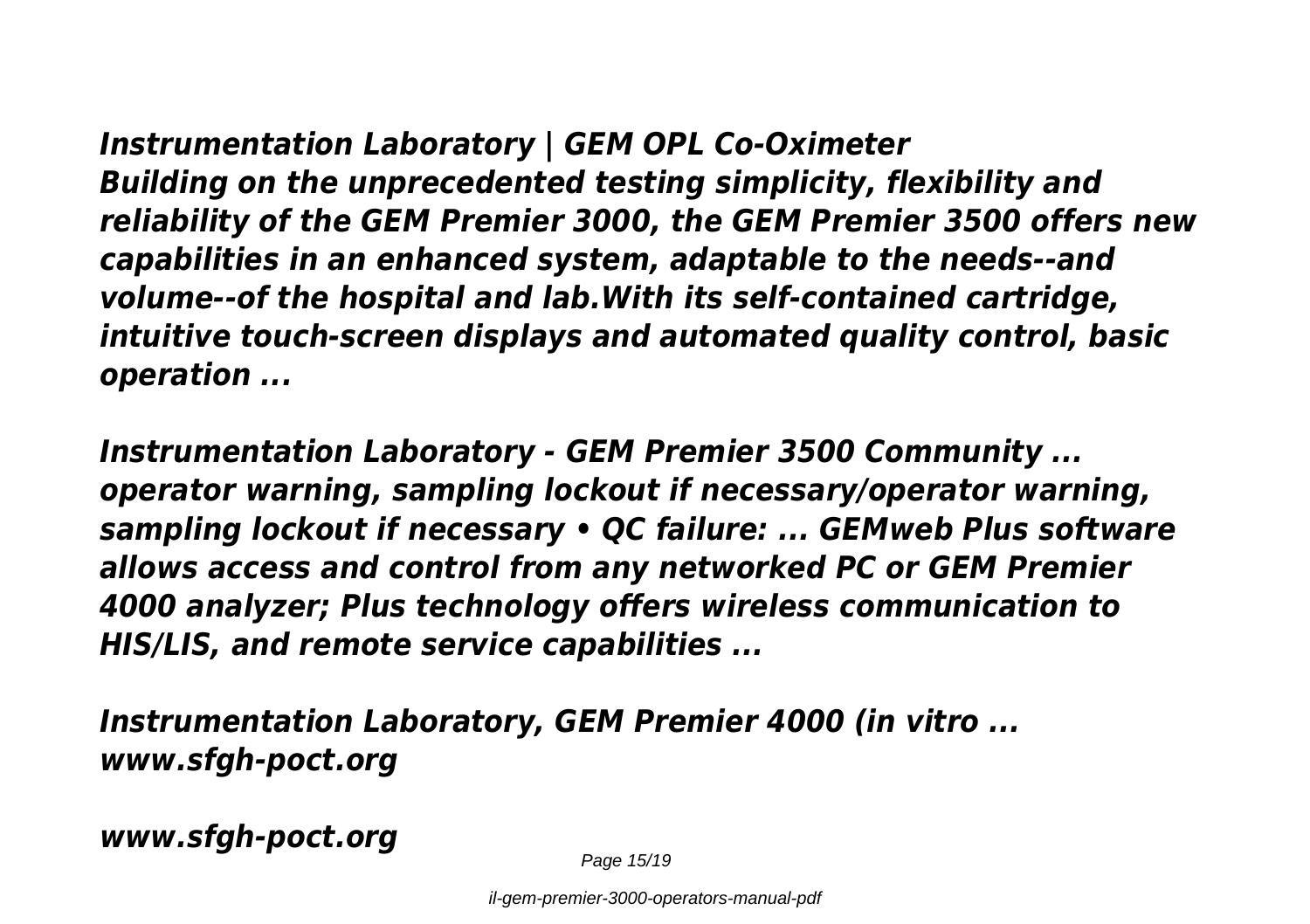*Instrumentation Laboratory | GEM OPL Co-Oximeter Building on the unprecedented testing simplicity, flexibility and reliability of the GEM Premier 3000, the GEM Premier 3500 offers new capabilities in an enhanced system, adaptable to the needs--and volume--of the hospital and lab.With its self-contained cartridge, intuitive touch-screen displays and automated quality control, basic operation ...*

*Instrumentation Laboratory - GEM Premier 3500 Community ... operator warning, sampling lockout if necessary/operator warning, sampling lockout if necessary • QC failure: ... GEMweb Plus software allows access and control from any networked PC or GEM Premier 4000 analyzer; Plus technology offers wireless communication to HIS/LIS, and remote service capabilities ...*

*Instrumentation Laboratory, GEM Premier 4000 (in vitro ... www.sfgh-poct.org*

*www.sfgh-poct.org*

Page 15/19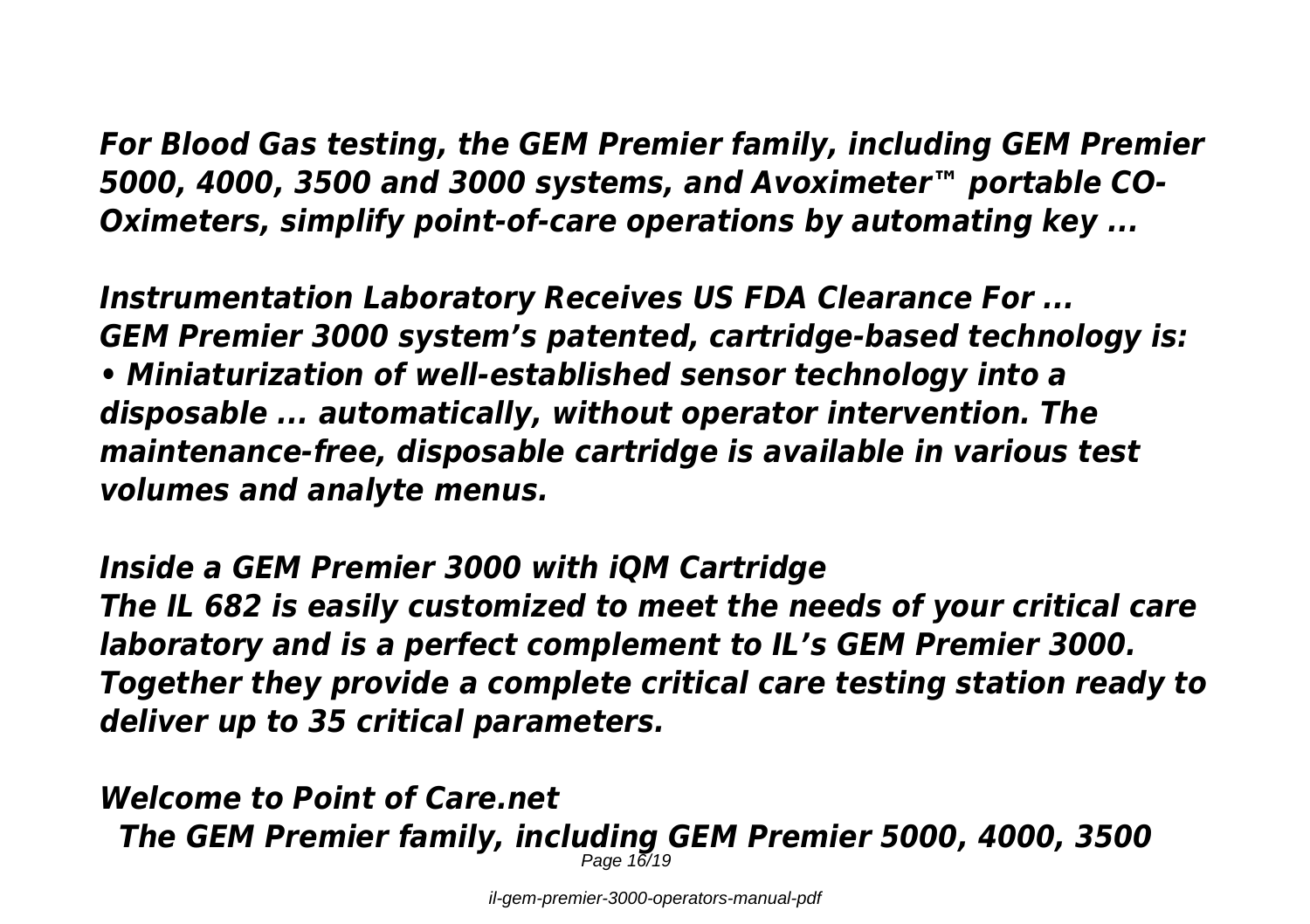*For Blood Gas testing, the GEM Premier family, including GEM Premier 5000, 4000, 3500 and 3000 systems, and Avoximeter™ portable CO-Oximeters, simplify point-of-care operations by automating key ...*

*Instrumentation Laboratory Receives US FDA Clearance For ... GEM Premier 3000 system's patented, cartridge-based technology is: • Miniaturization of well-established sensor technology into a disposable ... automatically, without operator intervention. The maintenance-free, disposable cartridge is available in various test volumes and analyte menus.*

*Inside a GEM Premier 3000 with iQM Cartridge The IL 682 is easily customized to meet the needs of your critical care laboratory and is a perfect complement to IL's GEM Premier 3000. Together they provide a complete critical care testing station ready to deliver up to 35 critical parameters.*

*Welcome to Point of Care.net The GEM Premier family, including GEM Premier 5000, 4000, 3500* Page 16/19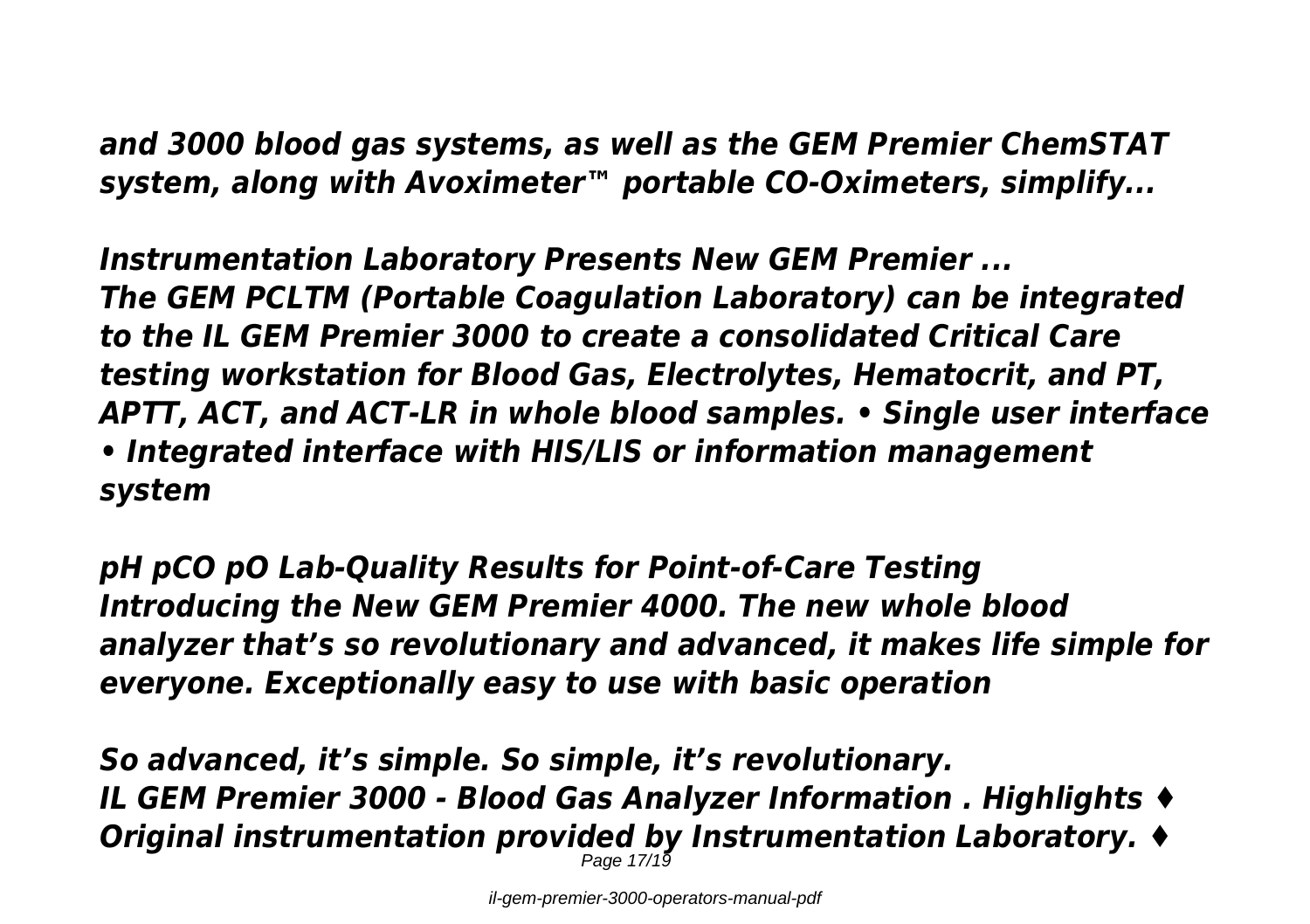*and 3000 blood gas systems, as well as the GEM Premier ChemSTAT system, along with Avoximeter™ portable CO-Oximeters, simplify...*

*Instrumentation Laboratory Presents New GEM Premier ... The GEM PCLTM (Portable Coagulation Laboratory) can be integrated to the IL GEM Premier 3000 to create a consolidated Critical Care testing workstation for Blood Gas, Electrolytes, Hematocrit, and PT, APTT, ACT, and ACT-LR in whole blood samples. • Single user interface • Integrated interface with HIS/LIS or information management system*

*pH pCO pO Lab-Quality Results for Point-of-Care Testing Introducing the New GEM Premier 4000. The new whole blood analyzer that's so revolutionary and advanced, it makes life simple for everyone. Exceptionally easy to use with basic operation*

*So advanced, it's simple. So simple, it's revolutionary. IL GEM Premier 3000 - Blood Gas Analyzer Information . Highlights ♦ Original instrumentation provided by Instrumentation Laboratory. ♦* Page 17/19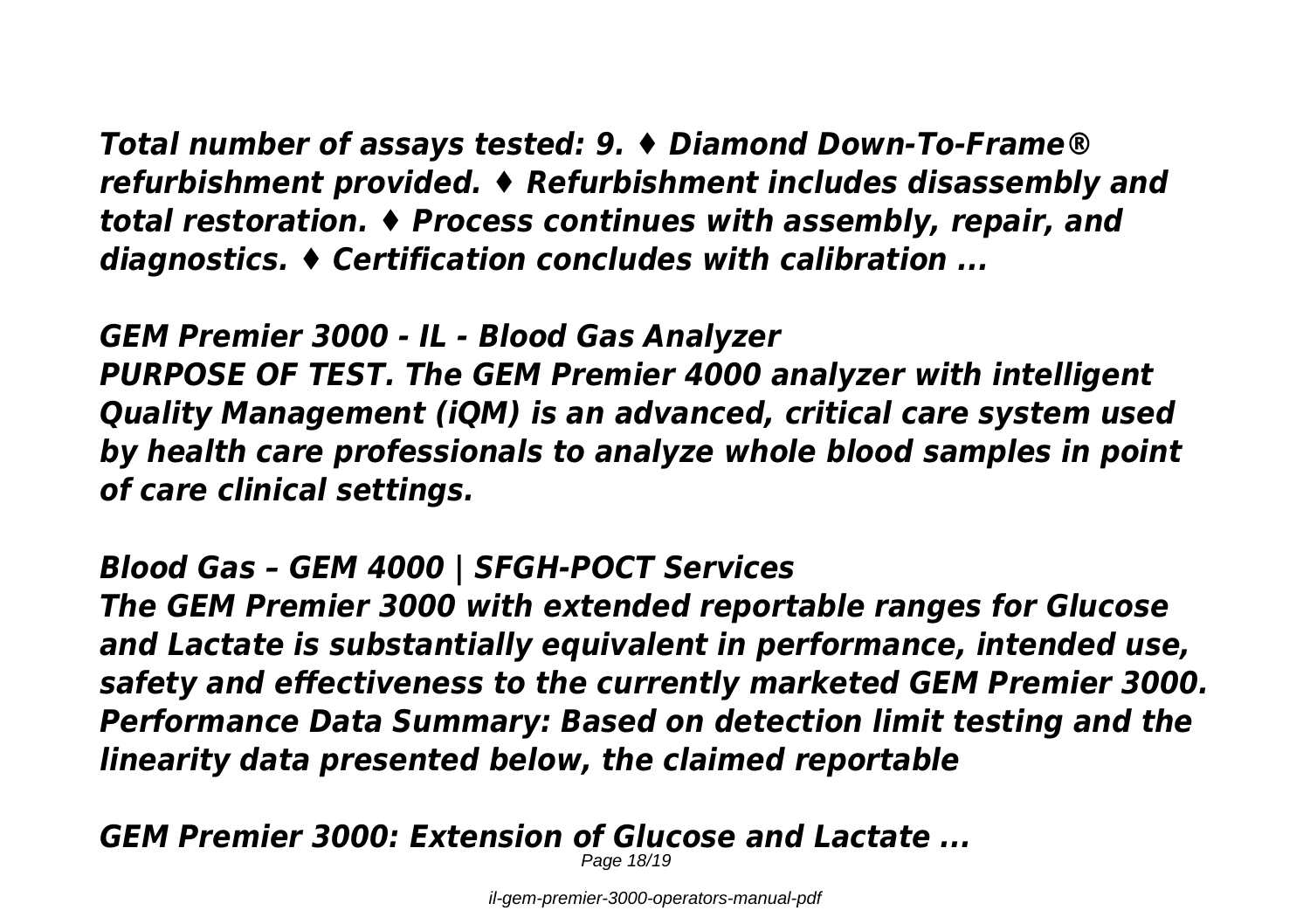*Total number of assays tested: 9. ♦ Diamond Down-To-Frame® refurbishment provided. ♦ Refurbishment includes disassembly and total restoration. ♦ Process continues with assembly, repair, and diagnostics. ♦ Certification concludes with calibration ...*

*GEM Premier 3000 - IL - Blood Gas Analyzer PURPOSE OF TEST. The GEM Premier 4000 analyzer with intelligent Quality Management (iQM) is an advanced, critical care system used by health care professionals to analyze whole blood samples in point of care clinical settings.*

*Blood Gas – GEM 4000 | SFGH-POCT Services*

*The GEM Premier 3000 with extended reportable ranges for Glucose and Lactate is substantially equivalent in performance, intended use, safety and effectiveness to the currently marketed GEM Premier 3000. Performance Data Summary: Based on detection limit testing and the linearity data presented below, the claimed reportable*

*GEM Premier 3000: Extension of Glucose and Lactate ...* Page 18/19